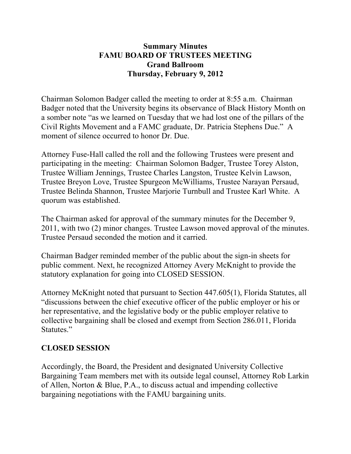#### **Summary Minutes FAMU BOARD OF TRUSTEES MEETING Grand Ballroom Thursday, February 9, 2012**

Chairman Solomon Badger called the meeting to order at 8:55 a.m. Chairman Badger noted that the University begins its observance of Black History Month on a somber note "as we learned on Tuesday that we had lost one of the pillars of the Civil Rights Movement and a FAMC graduate, Dr. Patricia Stephens Due." A moment of silence occurred to honor Dr. Due.

Attorney Fuse-Hall called the roll and the following Trustees were present and participating in the meeting: Chairman Solomon Badger, Trustee Torey Alston, Trustee William Jennings, Trustee Charles Langston, Trustee Kelvin Lawson, Trustee Breyon Love, Trustee Spurgeon McWilliams, Trustee Narayan Persaud, Trustee Belinda Shannon, Trustee Marjorie Turnbull and Trustee Karl White. A quorum was established.

The Chairman asked for approval of the summary minutes for the December 9, 2011, with two (2) minor changes. Trustee Lawson moved approval of the minutes. Trustee Persaud seconded the motion and it carried.

Chairman Badger reminded member of the public about the sign-in sheets for public comment. Next, he recognized Attorney Avery McKnight to provide the statutory explanation for going into CLOSED SESSION.

Attorney McKnight noted that pursuant to Section 447.605(1), Florida Statutes, all "discussions between the chief executive officer of the public employer or his or her representative, and the legislative body or the public employer relative to collective bargaining shall be closed and exempt from Section 286.011, Florida Statutes."

### **CLOSED SESSION**

Accordingly, the Board, the President and designated University Collective Bargaining Team members met with its outside legal counsel, Attorney Rob Larkin of Allen, Norton & Blue, P.A., to discuss actual and impending collective bargaining negotiations with the FAMU bargaining units.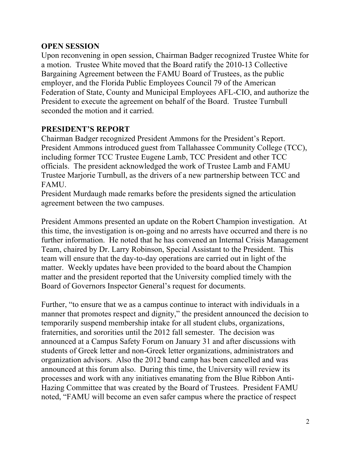### **OPEN SESSION**

Upon reconvening in open session, Chairman Badger recognized Trustee White for a motion. Trustee White moved that the Board ratify the 2010-13 Collective Bargaining Agreement between the FAMU Board of Trustees, as the public employer, and the Florida Public Employees Council 79 of the American Federation of State, County and Municipal Employees AFL-CIO, and authorize the President to execute the agreement on behalf of the Board. Trustee Turnbull seconded the motion and it carried.

#### **PRESIDENT'S REPORT**

Chairman Badger recognized President Ammons for the President's Report. President Ammons introduced guest from Tallahassee Community College (TCC), including former TCC Trustee Eugene Lamb, TCC President and other TCC officials. The president acknowledged the work of Trustee Lamb and FAMU Trustee Marjorie Turnbull, as the drivers of a new partnership between TCC and FAMU.

President Murdaugh made remarks before the presidents signed the articulation agreement between the two campuses.

President Ammons presented an update on the Robert Champion investigation. At this time, the investigation is on-going and no arrests have occurred and there is no further information. He noted that he has convened an Internal Crisis Management Team, chaired by Dr. Larry Robinson, Special Assistant to the President. This team will ensure that the day-to-day operations are carried out in light of the matter. Weekly updates have been provided to the board about the Champion matter and the president reported that the University complied timely with the Board of Governors Inspector General's request for documents.

Further, "to ensure that we as a campus continue to interact with individuals in a manner that promotes respect and dignity," the president announced the decision to temporarily suspend membership intake for all student clubs, organizations, fraternities, and sororities until the 2012 fall semester. The decision was announced at a Campus Safety Forum on January 31 and after discussions with students of Greek letter and non-Greek letter organizations, administrators and organization advisors. Also the 2012 band camp has been cancelled and was announced at this forum also. During this time, the University will review its processes and work with any initiatives emanating from the Blue Ribbon Anti-Hazing Committee that was created by the Board of Trustees. President FAMU noted, "FAMU will become an even safer campus where the practice of respect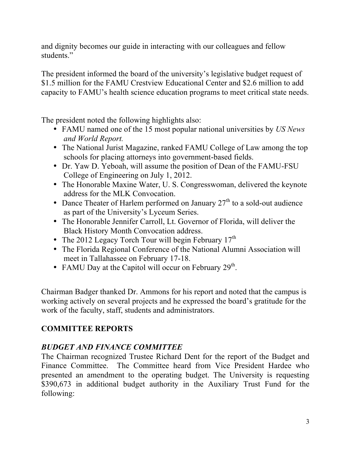and dignity becomes our guide in interacting with our colleagues and fellow students."

The president informed the board of the university's legislative budget request of \$1.5 million for the FAMU Crestview Educational Center and \$2.6 million to add capacity to FAMU's health science education programs to meet critical state needs.

The president noted the following highlights also:

- FAMU named one of the 15 most popular national universities by *US News and World Report.*
- The National Jurist Magazine, ranked FAMU College of Law among the top schools for placing attorneys into government-based fields.
- Dr. Yaw D. Yeboah, will assume the position of Dean of the FAMU-FSU College of Engineering on July 1, 2012.
- The Honorable Maxine Water, U. S. Congresswoman, delivered the keynote address for the MLK Convocation.
- Dance Theater of Harlem performed on January  $27<sup>th</sup>$  to a sold-out audience as part of the University's Lyceum Series.
- The Honorable Jennifer Carroll, Lt. Governor of Florida, will deliver the Black History Month Convocation address.
- The 2012 Legacy Torch Tour will begin February  $17<sup>th</sup>$
- The Florida Regional Conference of the National Alumni Association will meet in Tallahassee on February 17-18.
- FAMU Day at the Capitol will occur on February  $29<sup>th</sup>$ .

Chairman Badger thanked Dr. Ammons for his report and noted that the campus is working actively on several projects and he expressed the board's gratitude for the work of the faculty, staff, students and administrators.

# **COMMITTEE REPORTS**

# *BUDGET AND FINANCE COMMITTEE*

The Chairman recognized Trustee Richard Dent for the report of the Budget and Finance Committee. The Committee heard from Vice President Hardee who presented an amendment to the operating budget. The University is requesting \$390,673 in additional budget authority in the Auxiliary Trust Fund for the following: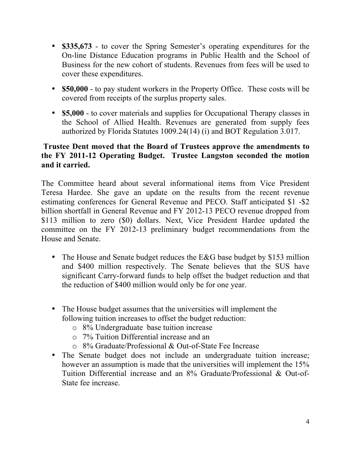- **\$335,673**  to cover the Spring Semester's operating expenditures for the On-line Distance Education programs in Public Health and the School of Business for the new cohort of students. Revenues from fees will be used to cover these expenditures.
- **\$50,000** to pay student workers in the Property Office. These costs will be covered from receipts of the surplus property sales.
- **\$5,000** to cover materials and supplies for Occupational Therapy classes in the School of Allied Health. Revenues are generated from supply fees authorized by Florida Statutes 1009.24(14) (i) and BOT Regulation 3.017.

### **Trustee Dent moved that the Board of Trustees approve the amendments to the FY 2011-12 Operating Budget. Trustee Langston seconded the motion and it carried.**

The Committee heard about several informational items from Vice President Teresa Hardee. She gave an update on the results from the recent revenue estimating conferences for General Revenue and PECO. Staff anticipated \$1 -\$2 billion shortfall in General Revenue and FY 2012-13 PECO revenue dropped from \$113 million to zero (\$0) dollars. Next, Vice President Hardee updated the committee on the FY 2012-13 preliminary budget recommendations from the House and Senate.

- The House and Senate budget reduces the E&G base budget by \$153 million and \$400 million respectively. The Senate believes that the SUS have significant Carry-forward funds to help offset the budget reduction and that the reduction of \$400 million would only be for one year.
- The House budget assumes that the universities will implement the following tuition increases to offset the budget reduction:
	- o 8% Undergraduate base tuition increase
	- o 7% Tuition Differential increase and an
	- o 8% Graduate/Professional & Out-of-State Fee Increase
- The Senate budget does not include an undergraduate tuition increase; however an assumption is made that the universities will implement the 15% Tuition Differential increase and an 8% Graduate/Professional & Out-of-State fee increase.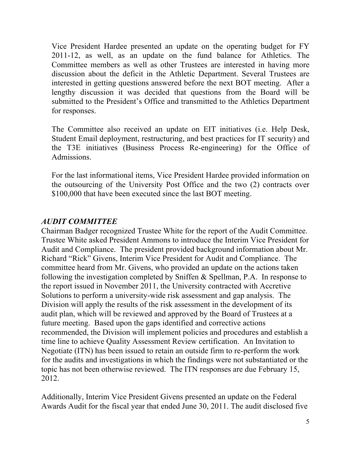Vice President Hardee presented an update on the operating budget for FY 2011-12, as well, as an update on the fund balance for Athletics. The Committee members as well as other Trustees are interested in having more discussion about the deficit in the Athletic Department. Several Trustees are interested in getting questions answered before the next BOT meeting. After a lengthy discussion it was decided that questions from the Board will be submitted to the President's Office and transmitted to the Athletics Department for responses.

The Committee also received an update on EIT initiatives (i.e. Help Desk, Student Email deployment, restructuring, and best practices for IT security) and the T3E initiatives (Business Process Re-engineering) for the Office of Admissions.

For the last informational items, Vice President Hardee provided information on the outsourcing of the University Post Office and the two (2) contracts over \$100,000 that have been executed since the last BOT meeting.

### *AUDIT COMMITTEE*

Chairman Badger recognized Trustee White for the report of the Audit Committee. Trustee White asked President Ammons to introduce the Interim Vice President for Audit and Compliance. The president provided background information about Mr. Richard "Rick" Givens, Interim Vice President for Audit and Compliance. The committee heard from Mr. Givens, who provided an update on the actions taken following the investigation completed by Sniffen & Spellman, P.A. In response to the report issued in November 2011, the University contracted with Accretive Solutions to perform a university-wide risk assessment and gap analysis. The Division will apply the results of the risk assessment in the development of its audit plan, which will be reviewed and approved by the Board of Trustees at a future meeting. Based upon the gaps identified and corrective actions recommended, the Division will implement policies and procedures and establish a time line to achieve Quality Assessment Review certification. An Invitation to Negotiate (ITN) has been issued to retain an outside firm to re-perform the work for the audits and investigations in which the findings were not substantiated or the topic has not been otherwise reviewed. The ITN responses are due February 15, 2012.

Additionally, Interim Vice President Givens presented an update on the Federal Awards Audit for the fiscal year that ended June 30, 2011. The audit disclosed five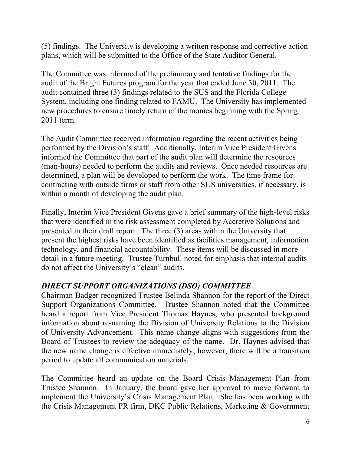(5) findings. The University is developing a written response and corrective action plans, which will be submitted to the Office of the State Auditor General.

The Committee was informed of the preliminary and tentative findings for the audit of the Bright Futures program for the year that ended June 30, 2011. The audit contained three (3) findings related to the SUS and the Florida College System, including one finding related to FAMU. The University has implemented new procedures to ensure timely return of the monies beginning with the Spring 2011 term.

The Audit Committee received information regarding the recent activities being performed by the Division's staff. Additionally, Interim Vice President Givens informed the Committee that part of the audit plan will determine the resources (man-hours) needed to perform the audits and reviews. Once needed resources are determined, a plan will be developed to perform the work. The time frame for contracting with outside firms or staff from other SUS universities, if necessary, is within a month of developing the audit plan.

Finally, Interim Vice President Givens gave a brief summary of the high-level risks that were identified in the risk assessment completed by Accretive Solutions and presented in their draft report. The three (3) areas within the University that present the highest risks have been identified as facilities management, information technology, and financial accountability. These items will be discussed in more detail in a future meeting. Trustee Turnbull noted for emphasis that internal audits do not affect the University's "clean" audits.

# *DIRECT SUPPORT ORGANIZATIONS (DSO) COMMITTEE*

Chairman Badger recognized Trustee Belinda Shannon for the report of the Direct Support Organizations Committee. Trustee Shannon noted that the Committee heard a report from Vice President Thomas Haynes, who presented background information about re-naming the Division of University Relations to the Division of University Advancement. This name change aligns with suggestions from the Board of Trustees to review the adequacy of the name. Dr. Haynes advised that the new name change is effective immediately; however, there will be a transition period to update all communication materials.

The Committee heard an update on the Board Crisis Management Plan from Trustee Shannon. In January, the board gave her approval to move forward to implement the University's Crisis Management Plan. She has been working with the Crisis Management PR firm, DKC Public Relations, Marketing & Government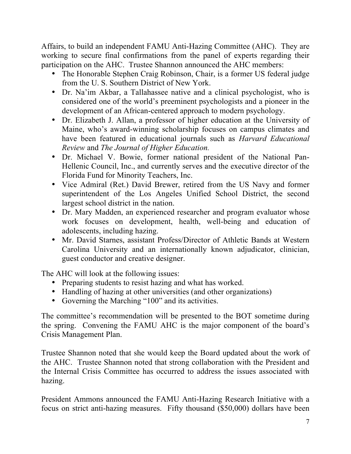Affairs, to build an independent FAMU Anti-Hazing Committee (AHC). They are working to secure final confirmations from the panel of experts regarding their participation on the AHC. Trustee Shannon announced the AHC members:

- The Honorable Stephen Craig Robinson, Chair, is a former US federal judge from the U. S. Southern District of New York.
- Dr. Na'im Akbar, a Tallahassee native and a clinical psychologist, who is considered one of the world's preeminent psychologists and a pioneer in the development of an African-centered approach to modern psychology.
- Dr. Elizabeth J. Allan, a professor of higher education at the University of Maine, who's award-winning scholarship focuses on campus climates and have been featured in educational journals such as *Harvard Educational Review* and *The Journal of Higher Education.*
- Dr. Michael V. Bowie, former national president of the National Pan-Hellenic Council, Inc., and currently serves and the executive director of the Florida Fund for Minority Teachers, Inc.
- Vice Admiral (Ret.) David Brewer, retired from the US Navy and former superintendent of the Los Angeles Unified School District, the second largest school district in the nation.
- Dr. Mary Madden, an experienced researcher and program evaluator whose work focuses on development, health, well-being and education of adolescents, including hazing.
- Mr. David Starnes, assistant Profess/Director of Athletic Bands at Western Carolina University and an internationally known adjudicator, clinician, guest conductor and creative designer.

The AHC will look at the following issues:

- Preparing students to resist hazing and what has worked.
- Handling of hazing at other universities (and other organizations)
- Governing the Marching "100" and its activities.

The committee's recommendation will be presented to the BOT sometime during the spring. Convening the FAMU AHC is the major component of the board's Crisis Management Plan.

Trustee Shannon noted that she would keep the Board updated about the work of the AHC. Trustee Shannon noted that strong collaboration with the President and the Internal Crisis Committee has occurred to address the issues associated with hazing.

President Ammons announced the FAMU Anti-Hazing Research Initiative with a focus on strict anti-hazing measures. Fifty thousand (\$50,000) dollars have been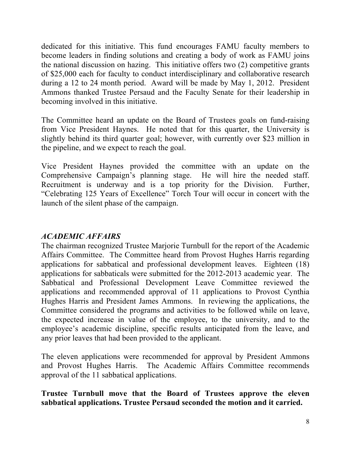dedicated for this initiative. This fund encourages FAMU faculty members to become leaders in finding solutions and creating a body of work as FAMU joins the national discussion on hazing. This initiative offers two (2) competitive grants of \$25,000 each for faculty to conduct interdisciplinary and collaborative research during a 12 to 24 month period. Award will be made by May 1, 2012. President Ammons thanked Trustee Persaud and the Faculty Senate for their leadership in becoming involved in this initiative.

The Committee heard an update on the Board of Trustees goals on fund-raising from Vice President Haynes. He noted that for this quarter, the University is slightly behind its third quarter goal; however, with currently over \$23 million in the pipeline, and we expect to reach the goal.

Vice President Haynes provided the committee with an update on the Comprehensive Campaign's planning stage. He will hire the needed staff. Recruitment is underway and is a top priority for the Division. Further, "Celebrating 125 Years of Excellence" Torch Tour will occur in concert with the launch of the silent phase of the campaign.

### *ACADEMIC AFFAIRS*

The chairman recognized Trustee Marjorie Turnbull for the report of the Academic Affairs Committee. The Committee heard from Provost Hughes Harris regarding applications for sabbatical and professional development leaves. Eighteen (18) applications for sabbaticals were submitted for the 2012-2013 academic year. The Sabbatical and Professional Development Leave Committee reviewed the applications and recommended approval of 11 applications to Provost Cynthia Hughes Harris and President James Ammons. In reviewing the applications, the Committee considered the programs and activities to be followed while on leave, the expected increase in value of the employee, to the university, and to the employee's academic discipline, specific results anticipated from the leave, and any prior leaves that had been provided to the applicant.

The eleven applications were recommended for approval by President Ammons and Provost Hughes Harris. The Academic Affairs Committee recommends approval of the 11 sabbatical applications.

### **Trustee Turnbull move that the Board of Trustees approve the eleven sabbatical applications. Trustee Persaud seconded the motion and it carried.**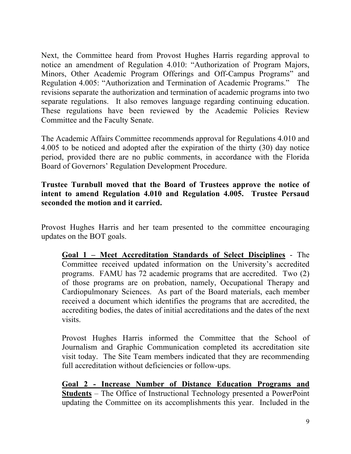Next, the Committee heard from Provost Hughes Harris regarding approval to notice an amendment of Regulation 4.010: "Authorization of Program Majors, Minors, Other Academic Program Offerings and Off-Campus Programs" and Regulation 4.005: "Authorization and Termination of Academic Programs." The revisions separate the authorization and termination of academic programs into two separate regulations. It also removes language regarding continuing education. These regulations have been reviewed by the Academic Policies Review Committee and the Faculty Senate.

The Academic Affairs Committee recommends approval for Regulations 4.010 and 4.005 to be noticed and adopted after the expiration of the thirty (30) day notice period, provided there are no public comments, in accordance with the Florida Board of Governors' Regulation Development Procedure.

### **Trustee Turnbull moved that the Board of Trustees approve the notice of intent to amend Regulation 4.010 and Regulation 4.005. Trustee Persaud seconded the motion and it carried.**

Provost Hughes Harris and her team presented to the committee encouraging updates on the BOT goals.

**Goal 1 – Meet Accreditation Standards of Select Disciplines** - The Committee received updated information on the University's accredited programs. FAMU has 72 academic programs that are accredited. Two (2) of those programs are on probation, namely, Occupational Therapy and Cardiopulmonary Sciences. As part of the Board materials, each member received a document which identifies the programs that are accredited, the accrediting bodies, the dates of initial accreditations and the dates of the next visits.

Provost Hughes Harris informed the Committee that the School of Journalism and Graphic Communication completed its accreditation site visit today. The Site Team members indicated that they are recommending full accreditation without deficiencies or follow-ups.

**Goal 2 - Increase Number of Distance Education Programs and Students** – The Office of Instructional Technology presented a PowerPoint updating the Committee on its accomplishments this year. Included in the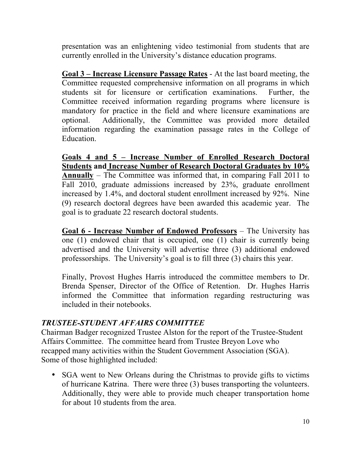presentation was an enlightening video testimonial from students that are currently enrolled in the University's distance education programs.

**Goal 3 – Increase Licensure Passage Rates** - At the last board meeting, the Committee requested comprehensive information on all programs in which students sit for licensure or certification examinations. Further, the Committee received information regarding programs where licensure is mandatory for practice in the field and where licensure examinations are optional. Additionally, the Committee was provided more detailed information regarding the examination passage rates in the College of Education.

**Goals 4 and 5 – Increase Number of Enrolled Research Doctoral Students and Increase Number of Research Doctoral Graduates by 10% Annually** – The Committee was informed that, in comparing Fall 2011 to Fall 2010, graduate admissions increased by 23%, graduate enrollment increased by 1.4%, and doctoral student enrollment increased by 92%. Nine (9) research doctoral degrees have been awarded this academic year. The goal is to graduate 22 research doctoral students.

**Goal 6 - Increase Number of Endowed Professors** – The University has one (1) endowed chair that is occupied, one (1) chair is currently being advertised and the University will advertise three (3) additional endowed professorships. The University's goal is to fill three (3) chairs this year.

Finally, Provost Hughes Harris introduced the committee members to Dr. Brenda Spenser, Director of the Office of Retention. Dr. Hughes Harris informed the Committee that information regarding restructuring was included in their notebooks.

### *TRUSTEE-STUDENT AFFAIRS COMMITTEE*

Chairman Badger recognized Trustee Alston for the report of the Trustee-Student Affairs Committee. The committee heard from Trustee Breyon Love who recapped many activities within the Student Government Association (SGA). Some of those highlighted included:

• SGA went to New Orleans during the Christmas to provide gifts to victims of hurricane Katrina. There were three (3) buses transporting the volunteers. Additionally, they were able to provide much cheaper transportation home for about 10 students from the area.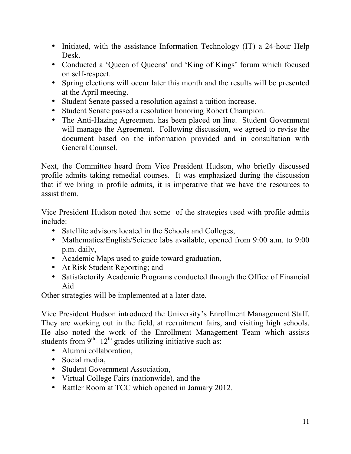- Initiated, with the assistance Information Technology (IT) a 24-hour Help Desk.
- Conducted a 'Queen of Queens' and 'King of Kings' forum which focused on self-respect.
- Spring elections will occur later this month and the results will be presented at the April meeting.
- Student Senate passed a resolution against a tuition increase.
- Student Senate passed a resolution honoring Robert Champion.
- The Anti-Hazing Agreement has been placed on line. Student Government will manage the Agreement. Following discussion, we agreed to revise the document based on the information provided and in consultation with General Counsel.

Next, the Committee heard from Vice President Hudson, who briefly discussed profile admits taking remedial courses. It was emphasized during the discussion that if we bring in profile admits, it is imperative that we have the resources to assist them.

Vice President Hudson noted that some of the strategies used with profile admits include:

- Satellite advisors located in the Schools and Colleges,
- Mathematics/English/Science labs available, opened from 9:00 a.m. to 9:00 p.m. daily,
- Academic Maps used to guide toward graduation,
- At Risk Student Reporting; and
- Satisfactorily Academic Programs conducted through the Office of Financial Aid

Other strategies will be implemented at a later date.

Vice President Hudson introduced the University's Enrollment Management Staff. They are working out in the field, at recruitment fairs, and visiting high schools. He also noted the work of the Enrollment Management Team which assists students from  $9<sup>th</sup>$ - 12<sup>th</sup> grades utilizing initiative such as:

- Alumni collaboration,
- Social media.
- Student Government Association,
- Virtual College Fairs (nationwide), and the
- Rattler Room at TCC which opened in January 2012.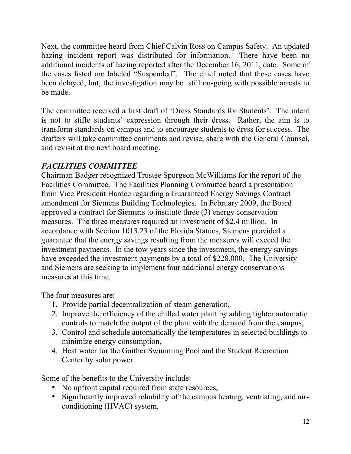Next, the committee heard from Chief Calvin Ross on Campus Safety. An updated hazing incident report was distributed for information. There have been no additional incidents of hazing reported after the December 16, 2011, date. Some of the cases listed are labeled "Suspended". The chief noted that these cases have been delayed; but, the investigation may be still on-going with possible arrests to be made.

The committee received a first draft of 'Dress Standards for Students'. The intent is not to stifle students' expression through their dress. Rather, the aim is to transform standards on campus and to encourage students to dress for success. The drafters will take committee comments and revise, share with the General Counsel, and revisit at the next board meeting.

### *FACILITIES COMMITTEE*

Chairman Badger recognized Trustee Spurgeon McWilliams for the report of the Facilities Committee. The Facilities Planning Committee heard a presentation from Vice President Hardee regarding a Guaranteed Energy Savings Contract amendment for Siemens Building Technologies. In February 2009, the Board approved a contract for Siemens to institute three (3) energy conservation measures. The three measures required an investment of \$2.4 million. In accordance with Section 1013.23 of the Florida Statues, Siemens provided a guarantee that the energy savings resulting from the measures will exceed the investment payments. In the tow years since the investment, the energy savings have exceeded the investment payments by a total of \$228,000. The University and Siemens are seeking to implement four additional energy conservations measures at this time.

The four measures are:

- 1. Provide partial decentralization of steam generation,
- 2. Improve the efficiency of the chilled water plant by adding tighter automatic controls to match the output of the plant with the demand from the campus,
- 3. Control and schedule automatically the temperatures in selected buildings to minimize energy consumption,
- 4. Heat water for the Gaither Swimming Pool and the Student Recreation Center by solar power.

Some of the benefits to the University include:

- No upfront capital required from state resources,
- Significantly improved reliability of the campus heating, ventilating, and airconditioning (HVAC) system,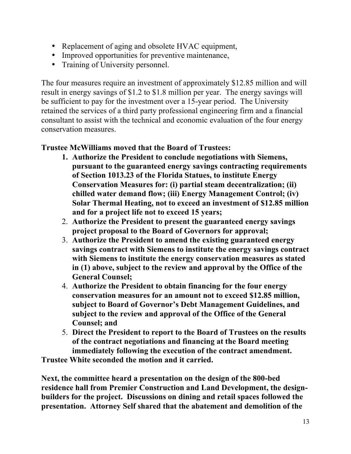- Replacement of aging and obsolete HVAC equipment,
- Improved opportunities for preventive maintenance,
- Training of University personnel.

The four measures require an investment of approximately \$12.85 million and will result in energy savings of \$1.2 to \$1.8 million per year. The energy savings will be sufficient to pay for the investment over a 15-year period. The University retained the services of a third party professional engineering firm and a financial consultant to assist with the technical and economic evaluation of the four energy conservation measures.

### **Trustee McWilliams moved that the Board of Trustees:**

- **1. Authorize the President to conclude negotiations with Siemens, pursuant to the guaranteed energy savings contracting requirements of Section 1013.23 of the Florida Statues, to institute Energy Conservation Measures for: (i) partial steam decentralization; (ii) chilled water demand flow; (iii) Energy Management Control; (iv) Solar Thermal Heating, not to exceed an investment of \$12.85 million and for a project life not to exceed 15 years;**
- 2. **Authorize the President to present the guaranteed energy savings project proposal to the Board of Governors for approval;**
- 3. **Authorize the President to amend the existing guaranteed energy savings contract with Siemens to institute the energy savings contract with Siemens to institute the energy conservation measures as stated in (1) above, subject to the review and approval by the Office of the General Counsel;**
- 4. **Authorize the President to obtain financing for the four energy conservation measures for an amount not to exceed \$12.85 million, subject to Board of Governor's Debt Management Guidelines, and subject to the review and approval of the Office of the General Counsel; and**
- 5. **Direct the President to report to the Board of Trustees on the results of the contract negotiations and financing at the Board meeting immediately following the execution of the contract amendment.**

**Trustee White seconded the motion and it carried.**

**Next, the committee heard a presentation on the design of the 800-bed residence hall from Premier Construction and Land Development, the designbuilders for the project. Discussions on dining and retail spaces followed the presentation. Attorney Self shared that the abatement and demolition of the**